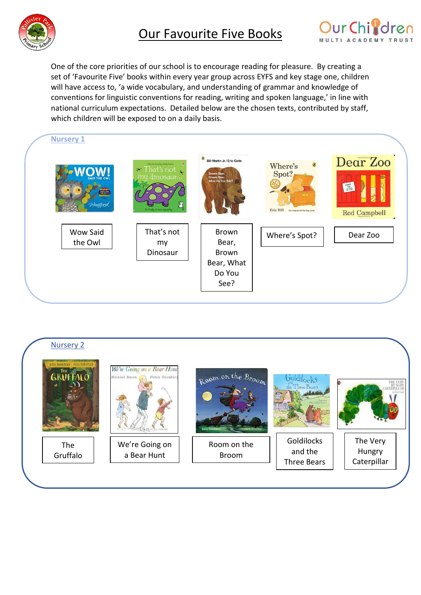



One of the core priorities of our school is to encourage reading for pleasure. By creating a set of 'Favourite Five' books within every year group across EYFS and key stage one, children will have access to, 'a wide vocabulary, and understanding of grammar and knowledge of conventions for linguistic conventions for reading, writing and spoken language,' in line with national curriculum expectations. Detailed below are the chosen texts, contributed by staff, which children will be exposed to on a daily basis.



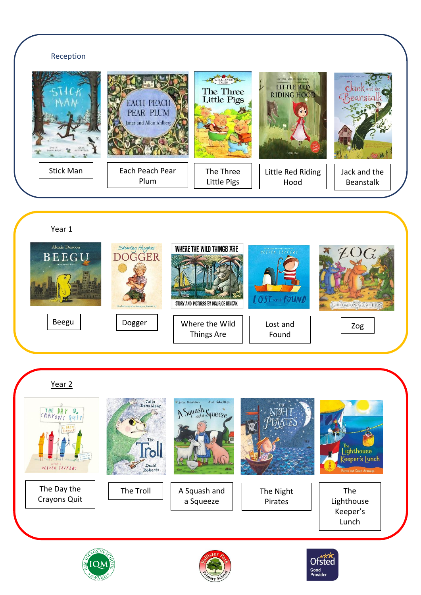

Year 1



Year 2